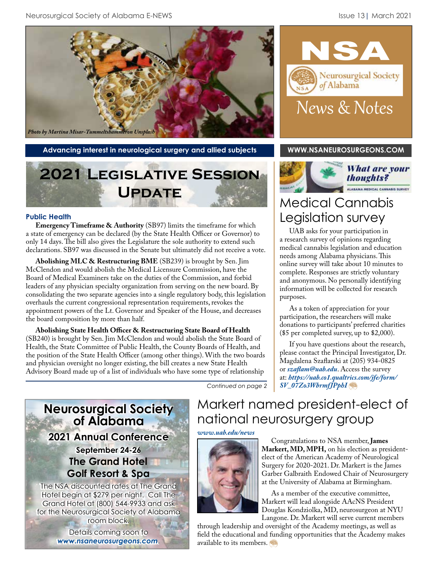

Advancing interest in neurological surgery and allied subjects **[WWW.NSANEUROSURGEONS.COM](http://www.nsaneurosurgeons.com)** 

# **2021 Legislative Session Update**

#### **Public Health**

**Emergency Timeframe & Authority** (SB97) limits the timeframe for which a state of emergency can be declared (by the State Health Officer or Governor) to only 14 days. The bill also gives the Legislature the sole authority to extend such declarations. SB97 was discussed in the Senate but ultimately did not receive a vote.

**Abolishing MLC & Restructuring BME** (SB239) is brought by Sen. Jim McClendon and would abolish the Medical Licensure Commission, have the Board of Medical Examiners take on the duties of the Commission, and forbid leaders of any physician specialty organization from serving on the new board. By consolidating the two separate agencies into a single regulatory body, this legislation overhauls the current congressional representation requirements, revokes the appointment powers of the Lt. Governor and Speaker of the House, and decreases the board composition by more than half.

**Abolishing State Health Officer & Restructuring State Board of Health** (SB240) is brought by Sen. Jim McClendon and would abolish the State Board of Health, the State Committee of Public Health, the County Boards of Health, and the position of the State Health Officer (among other things). With the two boards and physician oversight no longer existing, the bill creates a new State Health Advisory Board made up of a list of individuals who have some type of relationship





## Medical Cannabis Legislation survey

UAB asks for your participation in a research survey of opinions regarding medical cannabis legislation and education needs among Alabama physicians. This online survey will take about 10 minutes to complete. Responses are strictly voluntary and anonymous. No personally identifying information will be collected for research purposes.

As a token of appreciation for your participation, the researchers will make donations to participants' preferred charities (\$5 per completed survey, up to \$2,000).

If you have questions about the research, please contact the Principal Investigator, Dr. Magdalena Szaflarski at (205) 934-0825 or *szaflam@uab.edu*. Access the survey at: *[https://uab.co1.qualtrics.com/jfe/form/](https://uab.co1.qualtrics.com/jfe/form/SV_07Zo3WbrmfJPphI) SV\_07Zo3WbrmfJPphI*

*Continued on page 2*



room block.

Details coming soon to *www.nsaneurosurgeons.com*..

## Markert named president-elect of national neurosurgery group

*[www.uab.edu/news](https://www.uab.edu/news/people/item/11885-markert-named-president-elect-of-neurosurgery-group)*



Congratulations to NSA member, **James Markert, MD, MPH,** on his election as presidentelect of the American Academy of Neurological Surgery for 2020-2021. Dr. Markert is the James Garber Galbraith Endowed Chair of Neurosurgery at the University of Alabama at Birmingham.

As a member of the executive committee, Markert will lead alongside AAcNS President Douglas Kondziolka, MD, neurosurgeon at NYU Langone. Dr. Markert will serve current members

through leadership and oversight of the Academy meetings, as well as field the educational and funding opportunities that the Academy makes available to its members.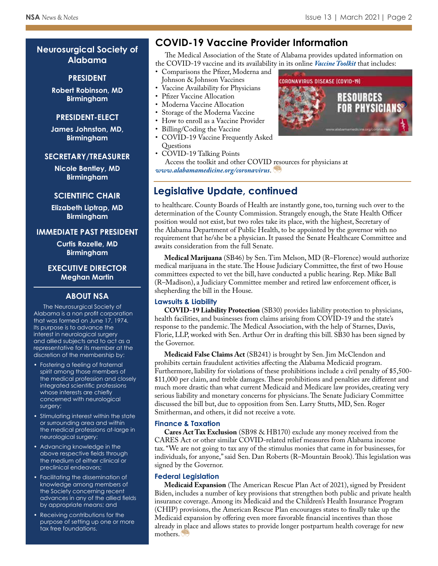## **Neurosurgical Society of Alabama**

#### **PRESIDENT**

**Robert Robinson, MD Birmingham**

#### **PRESIDENT-ELECT**

**James Johnston, MD, Birmingham**

#### **SECRETARY/TREASURER**

**Nicole Bentley, MD Birmingham**

#### **SCIENTIFIC CHAIR**

**Elizabeth Liptrap, MD Birmingham**

#### **IMMEDIATE PAST PRESIDENT**

**Curtis Rozelle, MD Birmingham**

**EXECUTIVE DIRECTOR Meghan Martin**

#### **ABOUT NSA**

The Neurosurgical Society of Alabama is a non profit corporation that was formed on June 17, 1974. Its purpose is to advance the interest in neurological surgery and allied subjects and to act as a representative for its member at the discretion of the membership by:

- Fostering a feeling of fraternal spirit among those members of the medical profession and closely integrated scientific professions whose interests are chiefly concerned with neurological surgery;
- Stimulating interest within the state or surrounding area and within the medical professions at-large in neurological surgery;
- Advancing knowledge in the above respective fields through the medium of either clinical or preclinical endeavors;
- Facilitating the dissemination of knowledge among members of the Society concerning recent advances in any of the allied fields by appropriate means; and
- Receiving contributions for the purpose of setting up one or more tax free foundations.

## **COVID-19 Vaccine Provider Information**

The Medical Association of the State of Alabama provides updated information on the COVID-19 vaccine and its availability in its online *[Vaccine Toolkit](https://alabamamedicine.org/wp-content/uploads/2021/03/COVID-19-Vaccine-Provider-Toolkit-3.8.pdf)* that includes:

- Comparisons the Pfizer, Moderna and Johnson & Johnson Vaccines
- Vaccine Availability for Physicians
- Pfizer Vaccine Allocation
- Moderna Vaccine Allocation
- Storage of the Moderna Vaccine
- How to enroll as a Vaccine Provider
- Billing/Coding the Vaccine
- COVID-19 Vaccine Frequently Asked Questions
- COVID-19 Talking Points

Access the toolkit and other COVID resources for physicians at *www.alabamamedicine.org/coronavirus*.

## **Legislative Update, continued**

to healthcare. County Boards of Health are instantly gone, too, turning such over to the determination of the County Commission. Strangely enough, the State Health Officer position would not exist, but two roles take its place, with the highest, Secretary of the Alabama Department of Public Health, to be appointed by the governor with no requirement that he/she be a physician. It passed the Senate Healthcare Committee and awaits consideration from the full Senate.

**Medical Marijuana** (SB46) by Sen. Tim Melson, MD (R–Florence) would authorize medical marijuana in the state. The House Judiciary Committee, the first of two House committees expected to vet the bill, have conducted a public hearing. Rep. Mike Ball (R–Madison), a Judiciary Committee member and retired law enforcement officer, is shepherding the bill in the House.

#### **Lawsuits & Liability**

**COVID-19 Liability Protection** (SB30) provides liability protection to physicians, health facilities, and businesses from claims arising from COVID-19 and the state's response to the pandemic. The Medical Association, with the help of Starnes, Davis, Florie, LLP, worked with Sen. Arthur Orr in drafting this bill. SB30 has been signed by the Governor.

**Medicaid False Claims Act** (SB241) is brought by Sen. Jim McClendon and prohibits certain fraudulent activities affecting the Alabama Medicaid program. Furthermore, liability for violations of these prohibitions include a civil penalty of \$5,500- \$11,000 per claim, and treble damages. These prohibitions and penalties are different and much more drastic than what current Medicaid and Medicare law provides, creating very serious liability and monetary concerns for physicians. The Senate Judiciary Committee discussed the bill but, due to opposition from Sen. Larry Stutts, MD, Sen. Roger Smitherman, and others, it did not receive a vote.

#### **Finance & Taxation**

**Cares Act Tax Exclusion** (SB98 & HB170) exclude any money received from the CARES Act or other similar COVID-related relief measures from Alabama income tax. "We are not going to tax any of the stimulus monies that came in for businesses, for individuals, for anyone," said Sen. Dan Roberts (R–Mountain Brook). This legislation was signed by the Governor.

#### **Federal Legislation**

**Medicaid Expansion** (The American Rescue Plan Act of 2021), signed by President Biden, includes a number of key provisions that strengthen both public and private health insurance coverage. Among its Medicaid and the Children's Health Insurance Program (CHIP) provisions, the American Rescue Plan encourages states to finally take up the Medicaid expansion by offering even more favorable financial incentives than those already in place and allows states to provide longer postpartum health coverage for new mothers.

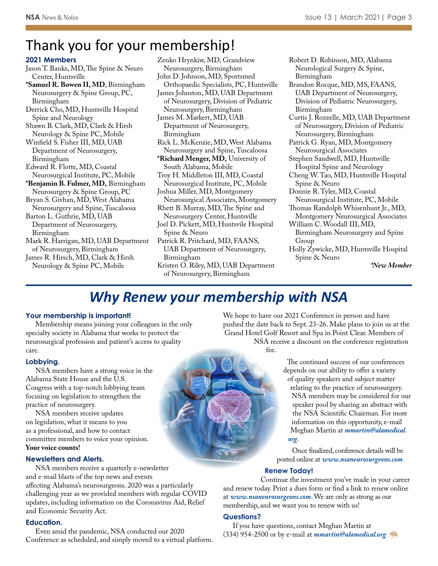# Thank you for your membership!

#### **2021 Members**

Jason T. Banks, MD, The Spine & Neuro Center, Huntsville

**\*Samuel R. Bowen II, MD**, Birmingham Neurosurgery & Spine Group, PC, Birmingham

- Derrick Cho, MD, Huntsville Hospital Spine and Neurology
- Shawn B. Clark, MD, Clark & Hirsh Neurology & Spine PC, Mobile
- Winfield S. Fisher III, MD, UAB Department of Neurosurgery, Birmingham

Edward R. Flotte, MD, Coastal Neurosurgical Institute, PC, Mobile

**\*Benjamin B. Fulmer, MD,** Birmingham Neurosurgery & Spine Group, PC

Bryan S. Givhan, MD, West Alabama Neurosurgery and Spine, Tuscaloosa

Barton L. Guthrie, MD, UAB Department of Neurosurgery, Birmingham

Mark R. Harrigan, MD, UAB Department of Neurosurgery, Birmingham

James R. Hirsch, MD, Clark & Hirsh Neurology & Spine PC, Mobile

Zenko Hrynkiw, MD, Grandview Neurosurgery, Birmingham

John D. Johnson, MD, Sportsmed Orthopaedic Specialists, PC, Huntsville

James Johnston, MD, UAB Department of Neurosurgery, Division of Pediatric Neurosurgery, Birmingham

James M. Markert, MD, UAB Department of Neurosurgery, Birmingham

Rick L. McKenzie, MD, West Alabama Neurosurgery and Spine, Tuscaloosa

**\*Richard Menger, MD,** University of South Alabama, Mobile

Troy H. Middleton III, MD, Coastal Neurosurgical Institute, PC, Mobile

Joshua Miller, MD, Montgomery Neurosurgical Associates, Montgomery

Rhett B. Murray, MD, The Spine and Neurosurgery Center, Huntsville

Joel D. Pickett, MD, Huntsvile Hospital Spine & Neuro

Patrick R. Pritchard, MD, FAANS, UAB Department of Neurosurgery, Birmingham

Kristen O. Riley, MD, UAB Department of Neurosurgery, Birmingham

Robert D. Robinson, MD, Alabama Neurological Surgery & Spine, Birmingham

- Brandon Rocque, MD, MS, FAANS, UAB Department of Neurosurgery, Division of Pediatric Neurosurgery, Birmingham
- Curtis J. Rozzelle, MD, UAB Department of Neurosurgery, Division of Pediatric Neurosurgery, Birmingham

Patrick G. Ryan, MD, Montgomery Neurosurgical Associates

Stephen Sandwell, MD, Huntsville Hospital Spine and Neurology

Cheng W. Tao, MD, Huntsville Hospital Spine & Neuro

Donnie R. Tyler, MD, Coastal

Neurosurgical Institute, PC, Mobile Thomas Randolph Whisenhunt Jr., MD,

Montgomery Neurosurgical Associates William C. Woodall III, MD,

Birmingham Neurosurgery and Spine Group

Holly Zywicke, MD, Huntsville Hospital Spine & Neuro

*\*New Member*

## *Why Renew your membership with NSA*

#### **Your membership is important!**

Membership means joining your colleagues in the only specialty society in Alabama that works to protect the neurosurgical profession and patient's access to quality care.

#### **Lobbying.**

NSA members have a strong voice in the Alabama State House and the U.S. Congress with a top-notch lobbying team focusing on legislation to strengthen the practice of neurosurgery.

NSA members receive updates on legislation, what it means to you as a professional, and how to contact committee members to voice your opinion. **Your voice counts!**

#### **Newsletters and Alerts.**

NSA members receive a quarterly e-newsletter and e-mail blasts of the top news and events affecting Alabama's neurosurgeons. 2020 was a particularly challenging year as we provided members with regular COVID updates, including information on the Coronavirus Aid, Relief and Economic Security Act.

#### **Education.**

Even amid the pandemic, NSA conducted our 2020 Conference as scheduled, and simply moved to a virtual platform. We hope to have our 2021 Conference in person and have pushed the date back to Sept. 23-26. Make plans to join us at the Grand Hotel Golf Resort and Spa in Point Clear. Members of NSA receive a discount on the conference registration

fee.

The continued success of our conferences depends on our ability to offer a variety of quality speakers and subject matter relating to the practice of neurosurgery. NSA members may be considered for our speaker pool by sharing an abstract with the NSA Scientific Chairman. For more information on this opportunity, e-mail Meghan Martin at *[mmartin@alamedical.](mailto:mmartin@alamedical.org) org*.

Once finalized, conference details will be posted online at *www.nsaneurosurgeons.com*.

#### **Renew Today!**

Continue the investment you've made in your career and renew today. Print a dues form or find a link to renew online at *www.nsaneurosurgeons.com*. We are only as strong as our membership, and we want you to renew with us!

#### **Questions?**

If you have questions, contact Meghan Martin at (334) 954-2500 or by e-mail at *mmartin@alamedical.org*.